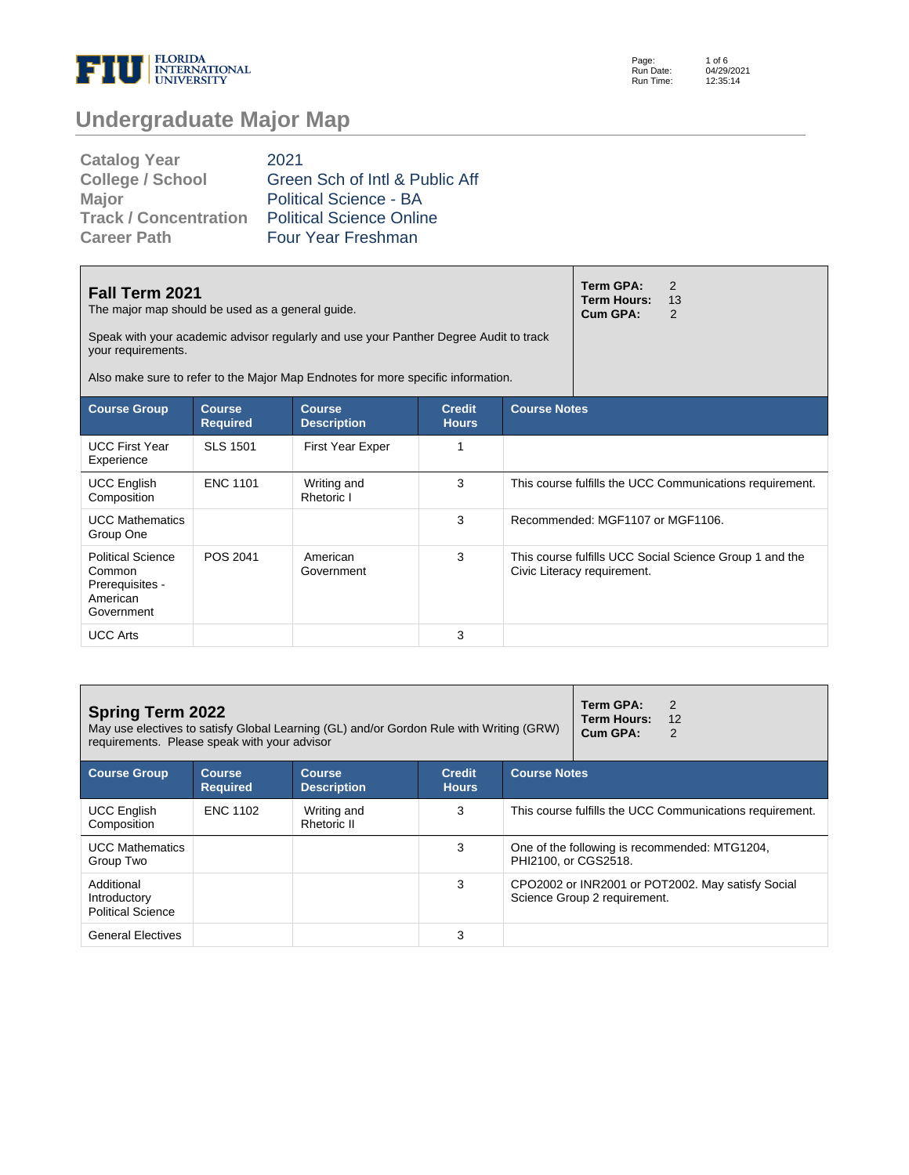

Page: Run Date: Run Time: 1 of 6 04/29/2021 12:35:14

# **Undergraduate Major Map**

| <b>Catalog Year</b>     | 2021                            |
|-------------------------|---------------------------------|
| <b>College / School</b> | Green Sch of Intl & Public Aff  |
| <b>Major</b>            | <b>Political Science - BA</b>   |
| Track / Concentration   | <b>Political Science Online</b> |
| <b>Career Path</b>      | Four Year Freshman              |

| Fall Term 2021<br>The major map should be used as a general guide.<br>Speak with your academic advisor regularly and use your Panther Degree Audit to track<br>your requirements.<br>Also make sure to refer to the Major Map Endnotes for more specific information. |                                  |                                     |                               |                     | Term GPA:<br>Term Hours:<br>Cum GPA: | 2<br>13<br>2                                             |
|-----------------------------------------------------------------------------------------------------------------------------------------------------------------------------------------------------------------------------------------------------------------------|----------------------------------|-------------------------------------|-------------------------------|---------------------|--------------------------------------|----------------------------------------------------------|
| <b>Course Group</b>                                                                                                                                                                                                                                                   | <b>Course</b><br><b>Required</b> | <b>Course</b><br><b>Description</b> | <b>Credit</b><br><b>Hours</b> | <b>Course Notes</b> |                                      |                                                          |
| <b>UCC First Year</b><br>Experience                                                                                                                                                                                                                                   | <b>SLS 1501</b>                  | First Year Exper                    | 1                             |                     |                                      |                                                          |
| <b>UCC English</b><br>Composition                                                                                                                                                                                                                                     | <b>ENC 1101</b>                  | Writing and<br>Rhetoric I           | 3                             |                     |                                      | This course fulfills the UCC Communications requirement. |
| <b>UCC Mathematics</b><br>Group One                                                                                                                                                                                                                                   |                                  |                                     | 3                             |                     | Recommended: MGF1107 or MGF1106.     |                                                          |
| <b>Political Science</b><br>Common<br>Prerequisites -<br>American<br>Government                                                                                                                                                                                       | POS 2041                         | American<br>Government              | 3                             |                     | Civic Literacy requirement.          | This course fulfills UCC Social Science Group 1 and the  |
| <b>UCC Arts</b>                                                                                                                                                                                                                                                       |                                  |                                     | 3                             |                     |                                      |                                                          |

| <b>Spring Term 2022</b><br>May use electives to satisfy Global Learning (GL) and/or Gordon Rule with Writing (GRW)<br>requirements. Please speak with your advisor |                            |                                     |                               |                      | Term GPA:<br>2<br>Term Hours:<br>12<br>Cum GPA:                                   |
|--------------------------------------------------------------------------------------------------------------------------------------------------------------------|----------------------------|-------------------------------------|-------------------------------|----------------------|-----------------------------------------------------------------------------------|
| <b>Course Group</b>                                                                                                                                                | Course.<br><b>Required</b> | <b>Course</b><br><b>Description</b> | <b>Credit</b><br><b>Hours</b> | <b>Course Notes</b>  |                                                                                   |
| <b>UCC English</b><br>Composition                                                                                                                                  | <b>ENC 1102</b>            | Writing and<br>Rhetoric II          | 3                             |                      | This course fulfills the UCC Communications requirement.                          |
| <b>UCC Mathematics</b><br>Group Two                                                                                                                                |                            |                                     | 3                             | PHI2100, or CGS2518. | One of the following is recommended: MTG1204,                                     |
| Additional<br>Introductory<br><b>Political Science</b>                                                                                                             |                            |                                     | 3                             |                      | CPO2002 or INR2001 or POT2002. May satisfy Social<br>Science Group 2 requirement. |
| <b>General Electives</b>                                                                                                                                           |                            |                                     | 3                             |                      |                                                                                   |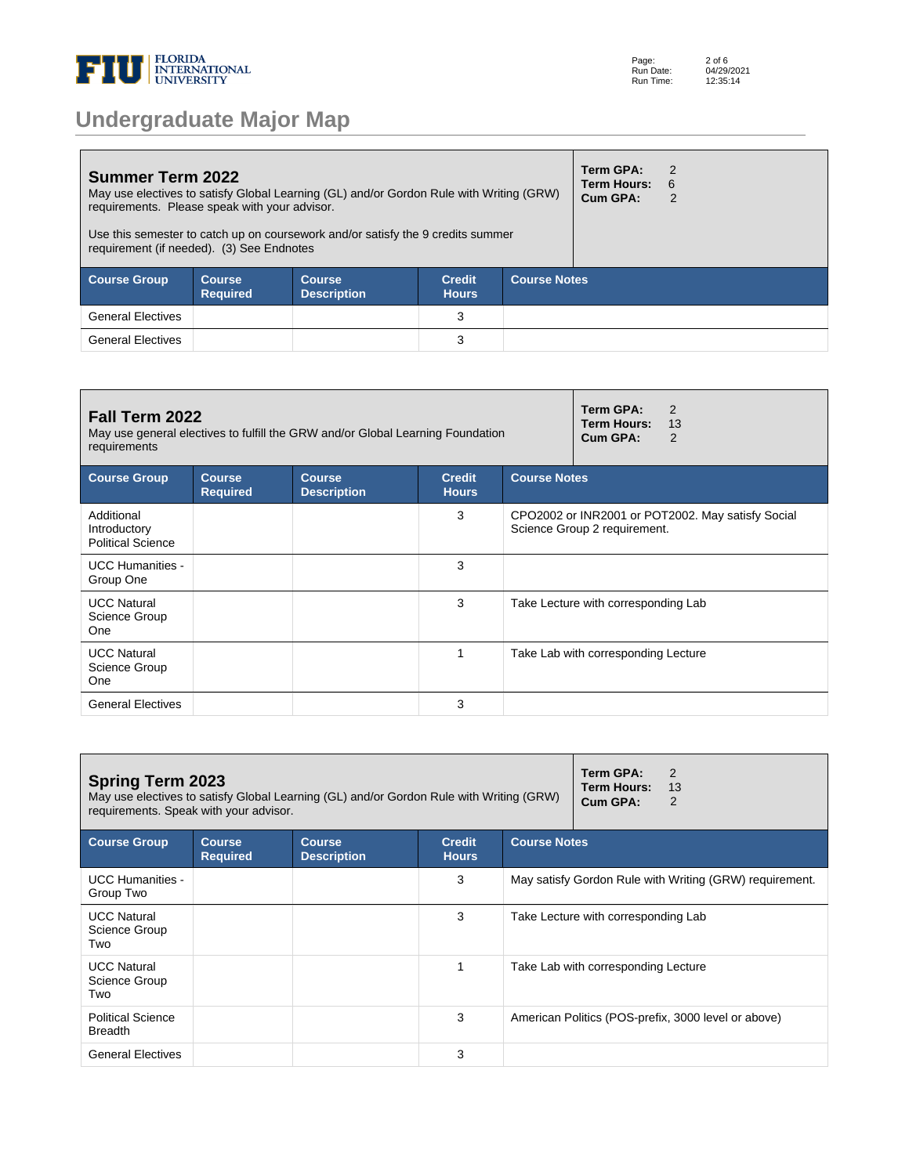

| <b>Summer Term 2022</b><br>requirements. Please speak with your advisor.<br>requirement (if needed). (3) See Endnotes |                            | May use electives to satisfy Global Learning (GL) and/or Gordon Rule with Writing (GRW)<br>Use this semester to catch up on coursework and/or satisfy the 9 credits summer |                               |                     | Term GPA:<br><b>Term Hours:</b><br>Cum GPA: | $\mathcal{P}$<br>- 6 |  |
|-----------------------------------------------------------------------------------------------------------------------|----------------------------|----------------------------------------------------------------------------------------------------------------------------------------------------------------------------|-------------------------------|---------------------|---------------------------------------------|----------------------|--|
| <b>Course Group</b>                                                                                                   | Course.<br><b>Required</b> | <b>Course</b><br><b>Description</b>                                                                                                                                        | <b>Credit</b><br><b>Hours</b> | <b>Course Notes</b> |                                             |                      |  |
| <b>General Electives</b>                                                                                              |                            |                                                                                                                                                                            | 3                             |                     |                                             |                      |  |
| <b>General Electives</b>                                                                                              |                            |                                                                                                                                                                            | 3                             |                     |                                             |                      |  |

| Fall Term 2022<br>requirements                         |                                  | May use general electives to fulfill the GRW and/or Global Learning Foundation |                               |                     | Term GPA:<br>2<br><b>Term Hours:</b><br>13<br>Cum GPA:<br>2                       |
|--------------------------------------------------------|----------------------------------|--------------------------------------------------------------------------------|-------------------------------|---------------------|-----------------------------------------------------------------------------------|
| <b>Course Group</b>                                    | <b>Course</b><br><b>Required</b> | <b>Course</b><br><b>Description</b>                                            | <b>Credit</b><br><b>Hours</b> | <b>Course Notes</b> |                                                                                   |
| Additional<br>Introductory<br><b>Political Science</b> |                                  |                                                                                | 3                             |                     | CPO2002 or INR2001 or POT2002. May satisfy Social<br>Science Group 2 requirement. |
| <b>UCC Humanities -</b><br>Group One                   |                                  |                                                                                | 3                             |                     |                                                                                   |
| <b>UCC Natural</b><br>Science Group<br>One             |                                  |                                                                                | 3                             |                     | Take Lecture with corresponding Lab                                               |
| <b>UCC Natural</b><br>Science Group<br><b>One</b>      |                                  |                                                                                | 1                             |                     | Take Lab with corresponding Lecture                                               |
| <b>General Electives</b>                               |                                  |                                                                                | 3                             |                     |                                                                                   |

| <b>Spring Term 2023</b><br>May use electives to satisfy Global Learning (GL) and/or Gordon Rule with Writing (GRW)<br>requirements. Speak with your advisor. |                                  |                                     |                               |                     | Term GPA:<br>2<br>Term Hours:<br>13<br>Cum GPA:<br>2    |
|--------------------------------------------------------------------------------------------------------------------------------------------------------------|----------------------------------|-------------------------------------|-------------------------------|---------------------|---------------------------------------------------------|
| <b>Course Group</b>                                                                                                                                          | <b>Course</b><br><b>Required</b> | <b>Course</b><br><b>Description</b> | <b>Credit</b><br><b>Hours</b> | <b>Course Notes</b> |                                                         |
| <b>UCC Humanities -</b><br>Group Two                                                                                                                         |                                  |                                     | 3                             |                     | May satisfy Gordon Rule with Writing (GRW) requirement. |
| <b>UCC Natural</b><br>Science Group<br>Two                                                                                                                   |                                  |                                     | 3                             |                     | Take Lecture with corresponding Lab                     |
| <b>UCC Natural</b><br>Science Group<br>Two                                                                                                                   |                                  |                                     |                               |                     | Take Lab with corresponding Lecture                     |
| <b>Political Science</b><br><b>Breadth</b>                                                                                                                   |                                  |                                     | 3                             |                     | American Politics (POS-prefix, 3000 level or above)     |
| <b>General Electives</b>                                                                                                                                     |                                  |                                     | 3                             |                     |                                                         |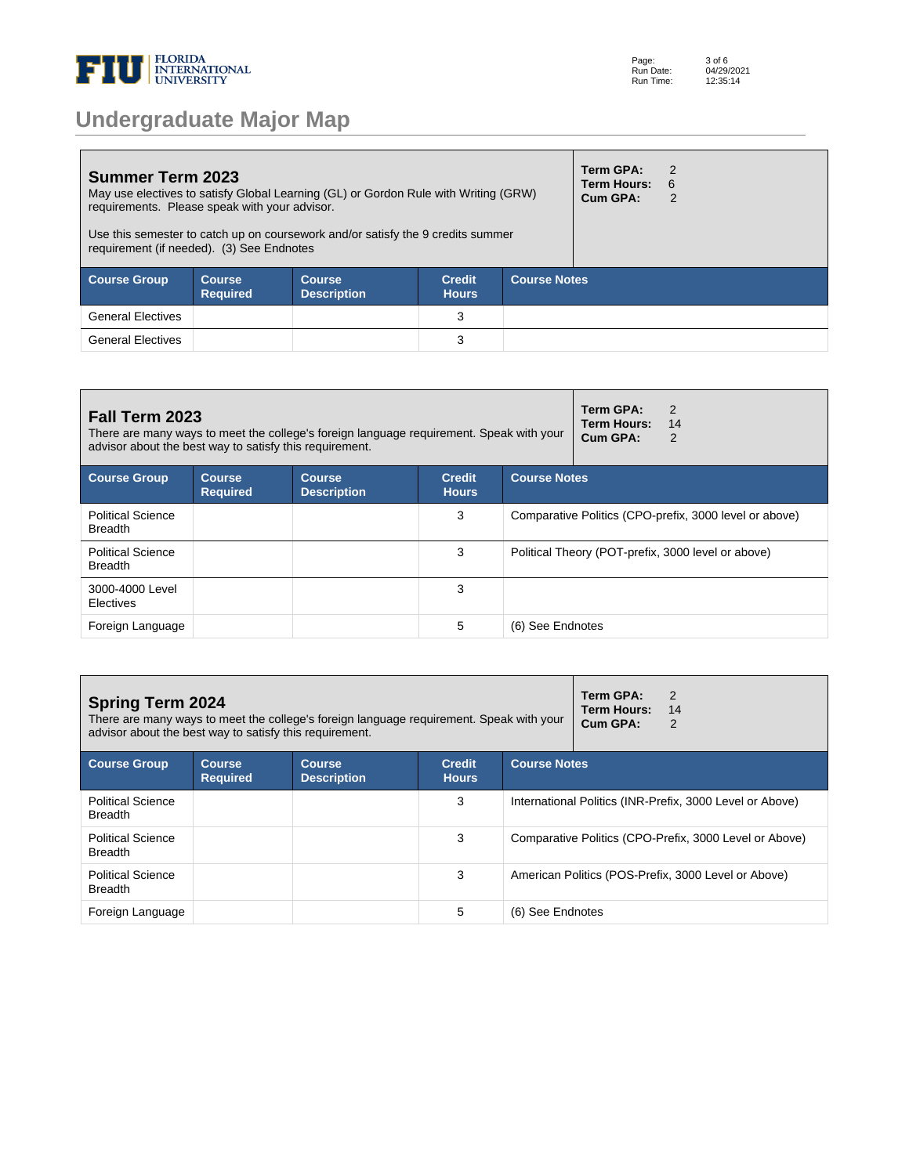

**Summer Term 2023** May use electives to satisfy Global Learning (GL) or Gordon Rule with Writing (GRW) requirements. Please speak with your advisor. Use this semester to catch up on coursework and/or satisfy the 9 credits summer requirement (if needed). (3) See Endnotes **Term GPA:** 2 **Term Hours:** 6 **Cum GPA:** 2 **Course Group Course Required Course Description Credit Hours Course Notes** General Electives 3 General Electives **3** 

| <b>Fall Term 2023</b><br>advisor about the best way to satisfy this requirement. |                                  | There are many ways to meet the college's foreign language requirement. Speak with your |                               |                     | Term GPA:<br>2<br>Term Hours:<br>14<br>Cum GPA:<br>2   |
|----------------------------------------------------------------------------------|----------------------------------|-----------------------------------------------------------------------------------------|-------------------------------|---------------------|--------------------------------------------------------|
| <b>Course Group</b>                                                              | <b>Course</b><br><b>Required</b> | <b>Course</b><br><b>Description</b>                                                     | <b>Credit</b><br><b>Hours</b> | <b>Course Notes</b> |                                                        |
| <b>Political Science</b><br><b>Breadth</b>                                       |                                  |                                                                                         | 3                             |                     | Comparative Politics (CPO-prefix, 3000 level or above) |
| <b>Political Science</b><br><b>Breadth</b>                                       |                                  |                                                                                         | 3                             |                     | Political Theory (POT-prefix, 3000 level or above)     |
| 3000-4000 Level<br>Electives                                                     |                                  |                                                                                         | 3                             |                     |                                                        |
| Foreign Language                                                                 |                                  |                                                                                         | 5                             | (6) See Endnotes    |                                                        |

| <b>Spring Term 2024</b><br>advisor about the best way to satisfy this requirement. |                           | There are many ways to meet the college's foreign language requirement. Speak with your |                               |                     | Term GPA:<br>2<br><b>Term Hours:</b><br>14<br>Cum GPA:<br>2 |
|------------------------------------------------------------------------------------|---------------------------|-----------------------------------------------------------------------------------------|-------------------------------|---------------------|-------------------------------------------------------------|
| <b>Course Group</b>                                                                | Course<br><b>Required</b> | <b>Course</b><br><b>Description</b>                                                     | <b>Credit</b><br><b>Hours</b> | <b>Course Notes</b> |                                                             |
| <b>Political Science</b><br><b>Breadth</b>                                         |                           |                                                                                         | 3                             |                     | International Politics (INR-Prefix, 3000 Level or Above)    |
| <b>Political Science</b><br><b>Breadth</b>                                         |                           |                                                                                         | 3                             |                     | Comparative Politics (CPO-Prefix, 3000 Level or Above)      |
| <b>Political Science</b><br><b>Breadth</b>                                         |                           |                                                                                         | 3                             |                     | American Politics (POS-Prefix, 3000 Level or Above)         |
| Foreign Language                                                                   |                           |                                                                                         | 5                             | (6) See Endnotes    |                                                             |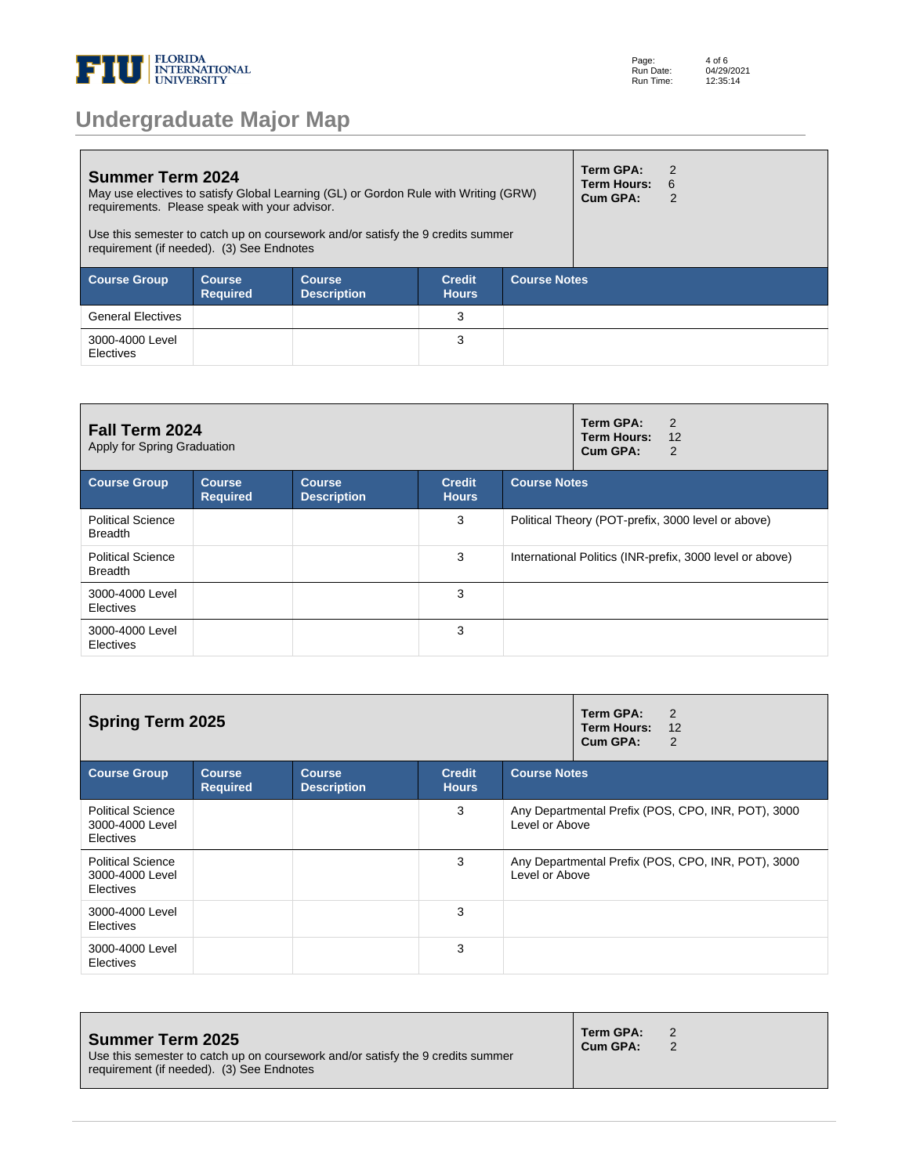

**Summer Term 2024** May use electives to satisfy Global Learning (GL) or Gordon Rule with Writing (GRW) requirements. Please speak with your advisor. Use this semester to catch up on coursework and/or satisfy the 9 credits summer requirement (if needed). (3) See Endnotes **Term GPA:** 2 **Term Hours:** 6 **Cum GPA:** 2 **Course Group Course Required Course Description Credit Hours Course Notes** General Electives 3 3000-4000 Level Electives 3

| <b>Fall Term 2024</b><br>Apply for Spring Graduation |                                  |                                     |                               | Term GPA:<br>2<br><b>Term Hours:</b><br>12<br>Cum GPA:<br>2 |
|------------------------------------------------------|----------------------------------|-------------------------------------|-------------------------------|-------------------------------------------------------------|
| <b>Course Group</b>                                  | <b>Course</b><br><b>Required</b> | <b>Course</b><br><b>Description</b> | <b>Credit</b><br><b>Hours</b> | <b>Course Notes</b>                                         |
| <b>Political Science</b><br><b>Breadth</b>           |                                  |                                     | 3                             | Political Theory (POT-prefix, 3000 level or above)          |
| <b>Political Science</b><br><b>Breadth</b>           |                                  |                                     | 3                             | International Politics (INR-prefix, 3000 level or above)    |
| 3000-4000 Level<br><b>Electives</b>                  |                                  |                                     | 3                             |                                                             |
| 3000-4000 Level<br>Electives                         |                                  |                                     | 3                             |                                                             |

| <b>Spring Term 2025</b>                                         |                                  | Term GPA:<br>2<br><b>Term Hours:</b><br>12<br>Cum GPA:<br>2 |                               |                                                                      |
|-----------------------------------------------------------------|----------------------------------|-------------------------------------------------------------|-------------------------------|----------------------------------------------------------------------|
| <b>Course Group</b>                                             | <b>Course</b><br><b>Required</b> | <b>Course</b><br><b>Description</b>                         | <b>Credit</b><br><b>Hours</b> | <b>Course Notes</b>                                                  |
| <b>Political Science</b><br>3000-4000 Level<br><b>Electives</b> |                                  |                                                             | 3                             | Any Departmental Prefix (POS, CPO, INR, POT), 3000<br>Level or Above |
| <b>Political Science</b><br>3000-4000 Level<br><b>Electives</b> |                                  |                                                             | 3                             | Any Departmental Prefix (POS, CPO, INR, POT), 3000<br>Level or Above |
| 3000-4000 Level<br><b>Electives</b>                             |                                  |                                                             | 3                             |                                                                      |
| 3000-4000 Level<br>Electives                                    |                                  |                                                             | 3                             |                                                                      |

| Summer Term 2025<br>Use this semester to catch up on coursework and/or satisfy the 9 credits summer<br>requirement (if needed). (3) See Endnotes | Term GPA:<br>Cum GPA: |  |
|--------------------------------------------------------------------------------------------------------------------------------------------------|-----------------------|--|
|--------------------------------------------------------------------------------------------------------------------------------------------------|-----------------------|--|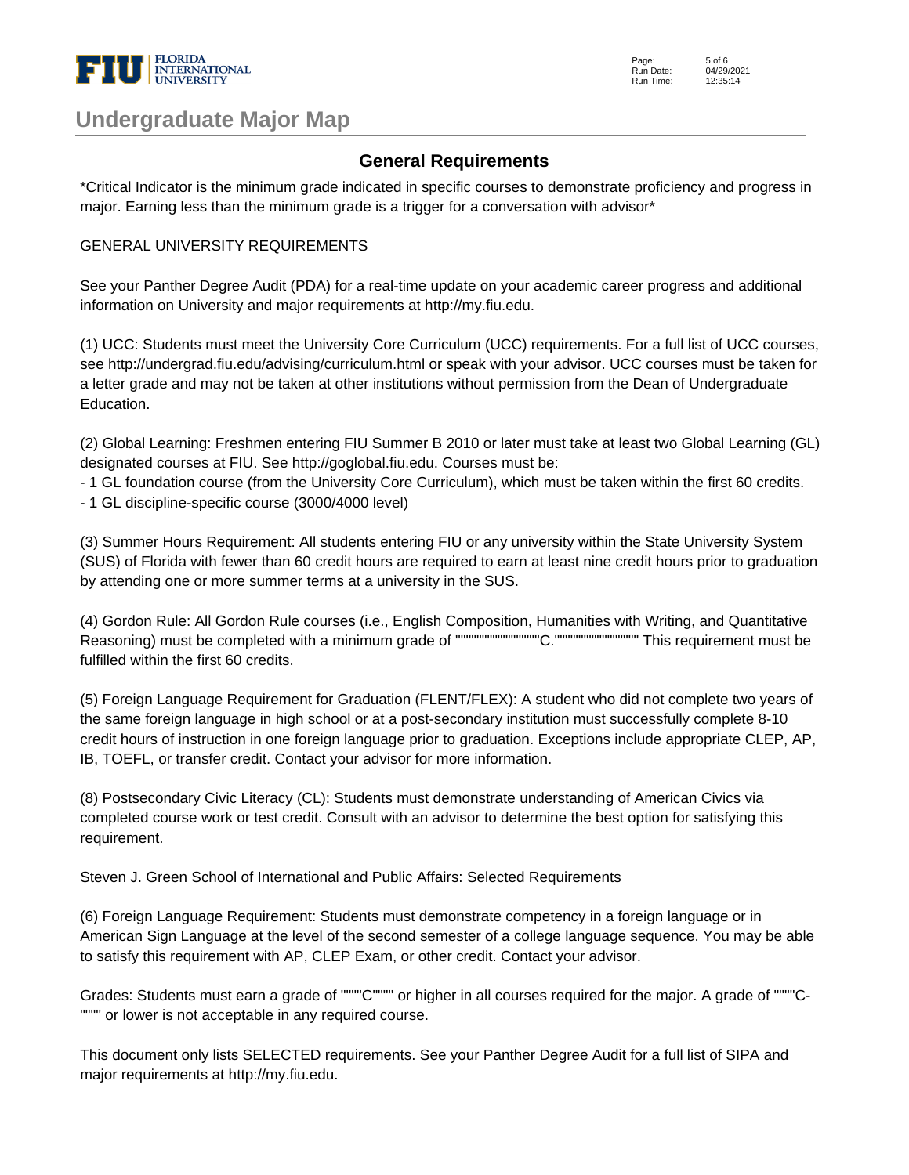

Page: Run Date: Run Time: 5 of 6 04/29/2021  $12.35.14$ 

### **Undergraduate Major Map**

#### **General Requirements**

\*Critical Indicator is the minimum grade indicated in specific courses to demonstrate proficiency and progress in major. Earning less than the minimum grade is a trigger for a conversation with advisor\*

#### GENERAL UNIVERSITY REQUIREMENTS

See your Panther Degree Audit (PDA) for a real-time update on your academic career progress and additional information on University and major requirements at http://my.fiu.edu.

(1) UCC: Students must meet the University Core Curriculum (UCC) requirements. For a full list of UCC courses, see http://undergrad.fiu.edu/advising/curriculum.html or speak with your advisor. UCC courses must be taken for a letter grade and may not be taken at other institutions without permission from the Dean of Undergraduate Education.

(2) Global Learning: Freshmen entering FIU Summer B 2010 or later must take at least two Global Learning (GL) designated courses at FIU. See http://goglobal.fiu.edu. Courses must be:

- 1 GL foundation course (from the University Core Curriculum), which must be taken within the first 60 credits.

- 1 GL discipline-specific course (3000/4000 level)

(3) Summer Hours Requirement: All students entering FIU or any university within the State University System (SUS) of Florida with fewer than 60 credit hours are required to earn at least nine credit hours prior to graduation by attending one or more summer terms at a university in the SUS.

(4) Gordon Rule: All Gordon Rule courses (i.e., English Composition, Humanities with Writing, and Quantitative Reasoning) must be completed with a minimum grade of """"""""""""""""C."""""""""""""""" This requirement must be fulfilled within the first 60 credits.

(5) Foreign Language Requirement for Graduation (FLENT/FLEX): A student who did not complete two years of the same foreign language in high school or at a post-secondary institution must successfully complete 8-10 credit hours of instruction in one foreign language prior to graduation. Exceptions include appropriate CLEP, AP, IB, TOEFL, or transfer credit. Contact your advisor for more information.

(8) Postsecondary Civic Literacy (CL): Students must demonstrate understanding of American Civics via completed course work or test credit. Consult with an advisor to determine the best option for satisfying this requirement.

Steven J. Green School of International and Public Affairs: Selected Requirements

(6) Foreign Language Requirement: Students must demonstrate competency in a foreign language or in American Sign Language at the level of the second semester of a college language sequence. You may be able to satisfy this requirement with AP, CLEP Exam, or other credit. Contact your advisor.

Grades: Students must earn a grade of """"C"""" or higher in all courses required for the major. A grade of """"C- """" or lower is not acceptable in any required course.

This document only lists SELECTED requirements. See your Panther Degree Audit for a full list of SIPA and major requirements at http://my.fiu.edu.